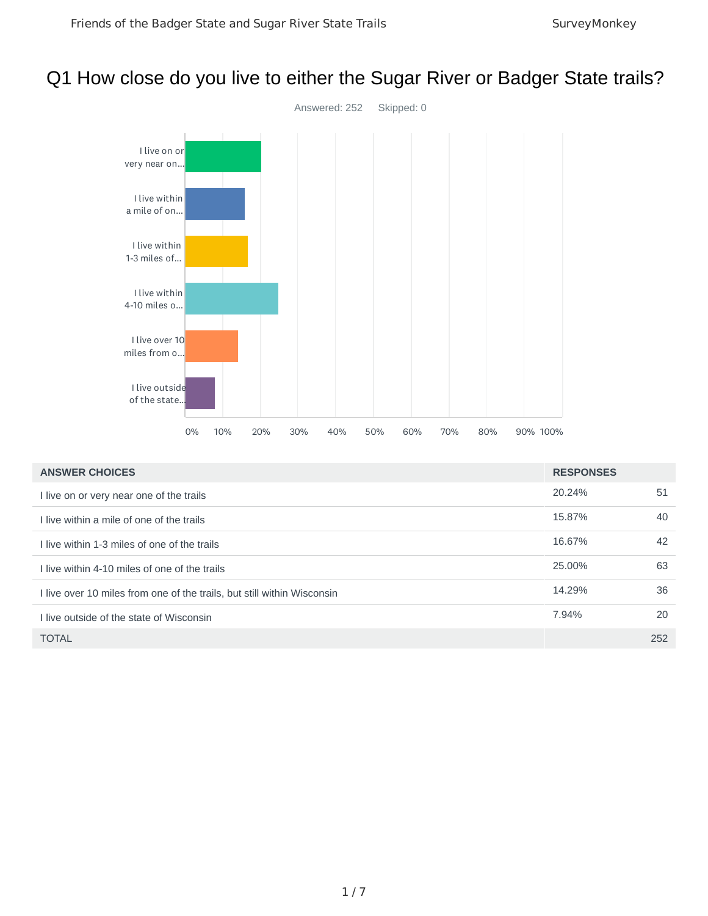# Q1 How close do you live to either the Sugar River or Badger State trails?



| <b>ANSWER CHOICES</b>                                                   | <b>RESPONSES</b> |     |
|-------------------------------------------------------------------------|------------------|-----|
| I live on or very near one of the trails                                | 20.24%           | 51  |
| I live within a mile of one of the trails                               | 15.87%           | 40  |
| I live within 1-3 miles of one of the trails                            | 16.67%           | 42  |
| I live within 4-10 miles of one of the trails                           | 25.00%           | 63  |
| I live over 10 miles from one of the trails, but still within Wisconsin | 14.29%           | 36  |
| I live outside of the state of Wisconsin                                | 7.94%            | 20  |
| <b>TOTAL</b>                                                            |                  | 252 |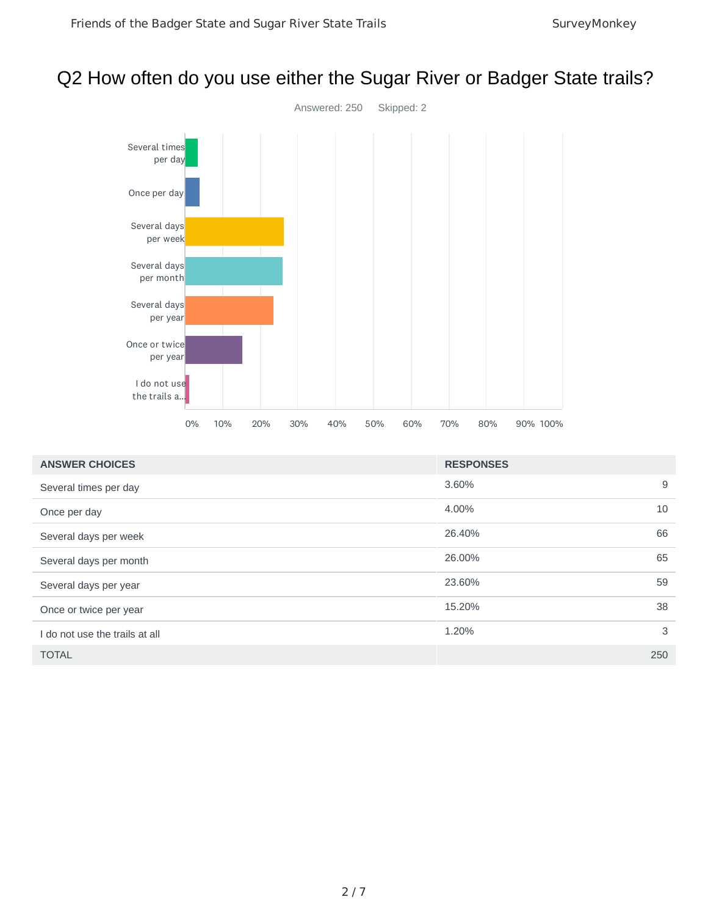# Q2 How often do you use either the Sugar River or Badger State trails?



| <b>ANSWER CHOICES</b>          | <b>RESPONSES</b> |   |
|--------------------------------|------------------|---|
| Several times per day          | 3.60%            | 9 |
| Once per day                   | 4.00%<br>10      |   |
| Several days per week          | 66<br>26.40%     |   |
| Several days per month         | 65<br>26.00%     |   |
| Several days per year          | 59<br>23.60%     |   |
| Once or twice per year         | 15.20%<br>38     |   |
| I do not use the trails at all | 1.20%            | 3 |
| <b>TOTAL</b>                   | 250              |   |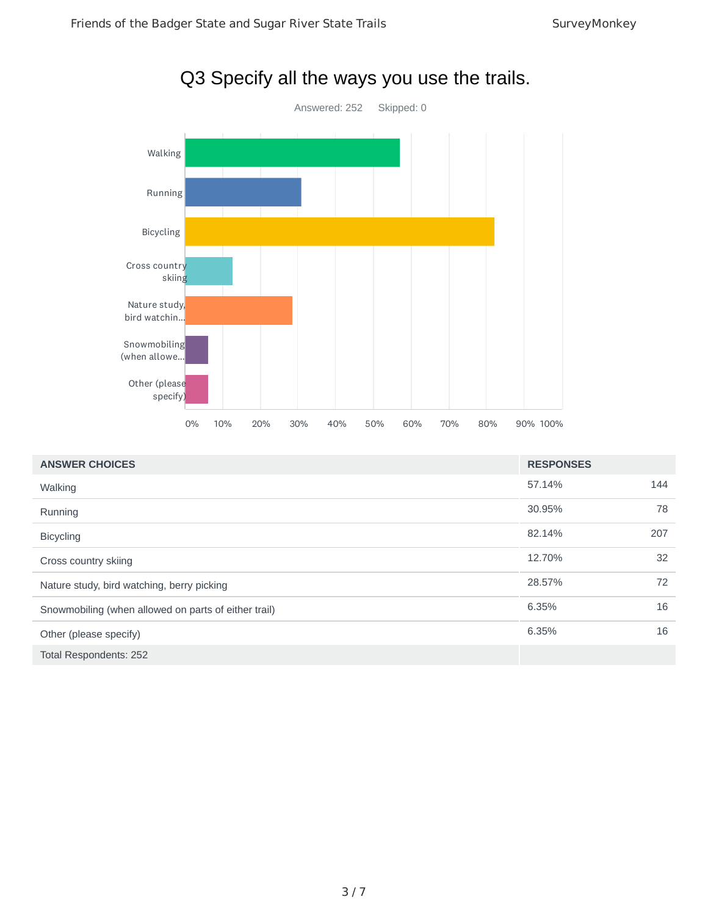

| <b>ANSWER CHOICES</b>                                | <b>RESPONSES</b> |     |
|------------------------------------------------------|------------------|-----|
| Walking                                              | 57.14%           | 144 |
| Running                                              | 30.95%           | 78  |
| <b>Bicycling</b>                                     | 82.14%           | 207 |
| Cross country skiing                                 | 12.70%           | 32  |
| Nature study, bird watching, berry picking           | 28.57%           | 72  |
| Snowmobiling (when allowed on parts of either trail) | 6.35%            | 16  |
| Other (please specify)                               | 6.35%            | 16  |
| Total Respondents: 252                               |                  |     |

# Q3 Specify all the ways you use the trails.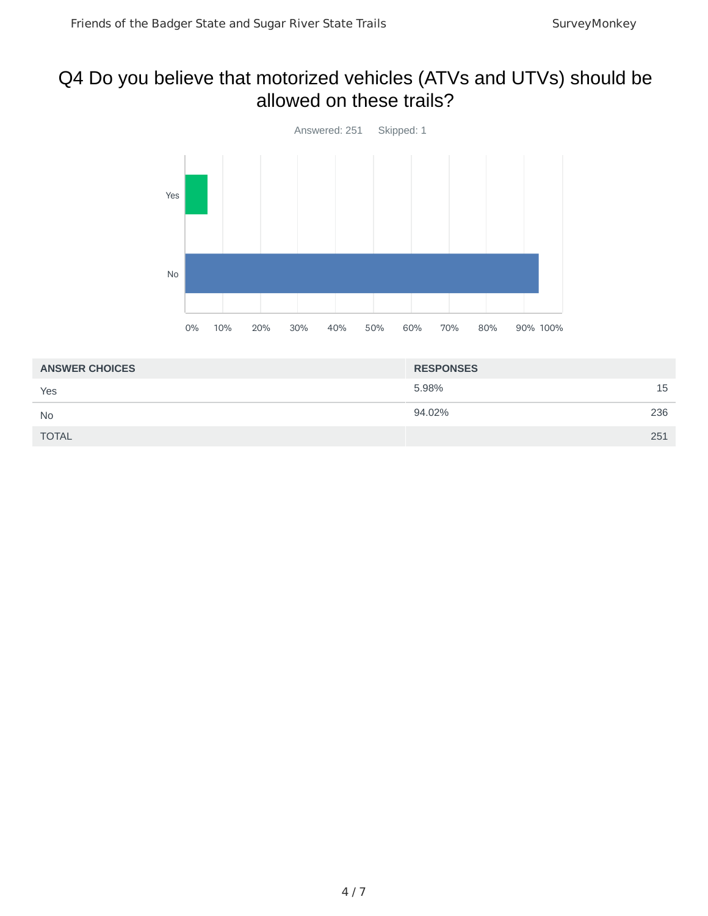# Q4 Do you believe that motorized vehicles (ATVs and UTVs) should be allowed on these trails?



| <b>ANSWER CHOICES</b> | <b>RESPONSES</b> |     |
|-----------------------|------------------|-----|
| Yes                   | 5.98%            | 15  |
| <b>No</b>             | 94.02%           | 236 |
| <b>TOTAL</b>          |                  | 251 |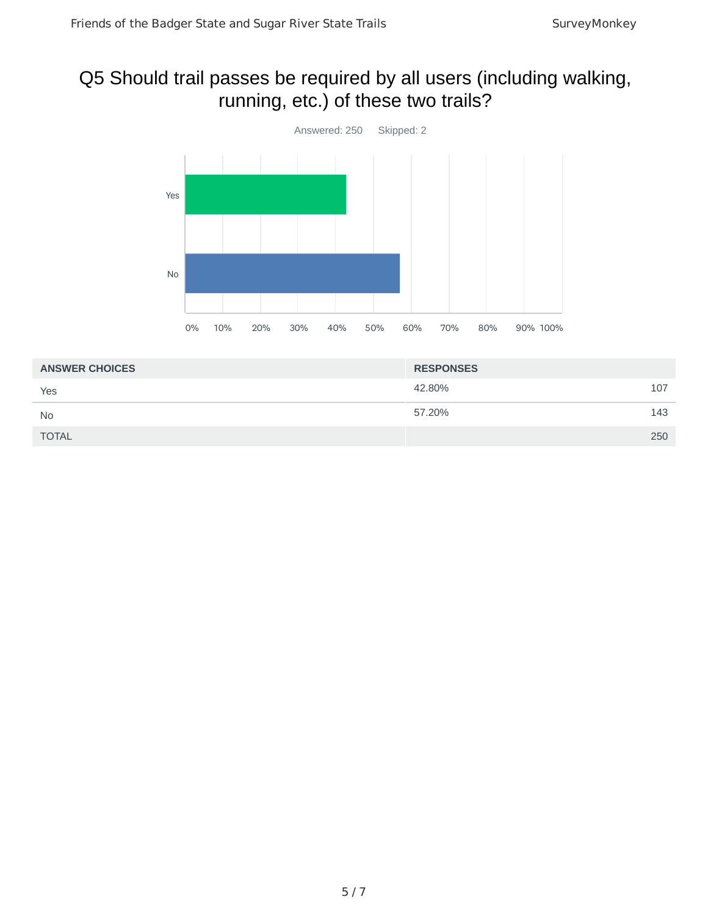# Q5 Should trail passes be required by all users (including walking, running, etc.) of these two trails?



| <b>ANSWER CHOICES</b> | <b>RESPONSES</b> |     |
|-----------------------|------------------|-----|
| Yes                   | 42.80%           | 107 |
| <b>No</b>             | 57.20%           | 143 |
| <b>TOTAL</b>          |                  | 250 |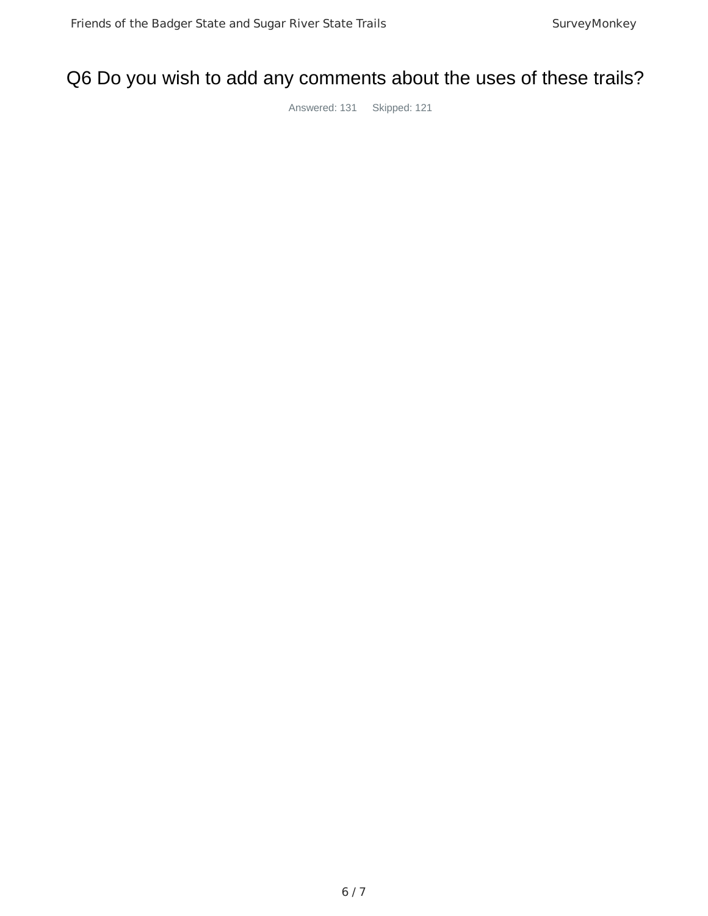# Q6 Do you wish to add any comments about the uses of these trails?

Answered: 131 Skipped: 121